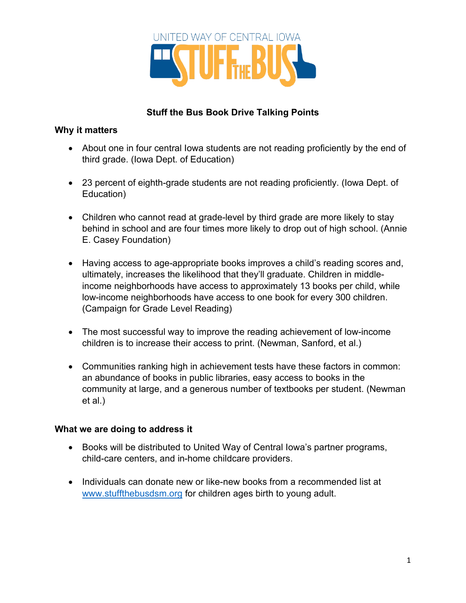

## **Stuff the Bus Book Drive Talking Points**

## **Why it matters**

- About one in four central lowa students are not reading proficiently by the end of third grade. (Iowa Dept. of Education)
- 23 percent of eighth-grade students are not reading proficiently. (Iowa Dept. of Education)
- Children who cannot read at grade-level by third grade are more likely to stay behind in school and are four times more likely to drop out of high school. (Annie E. Casey Foundation)
- Having access to age-appropriate books improves a child's reading scores and, ultimately, increases the likelihood that they'll graduate. Children in middleincome neighborhoods have access to approximately 13 books per child, while low-income neighborhoods have access to one book for every 300 children. (Campaign for Grade Level Reading)
- The most successful way to improve the reading achievement of low-income children is to increase their access to print. (Newman, Sanford, et al.)
- Communities ranking high in achievement tests have these factors in common: an abundance of books in public libraries, easy access to books in the community at large, and a generous number of textbooks per student. (Newman et al.)

## **What we are doing to address it**

- Books will be distributed to United Way of Central Iowa's partner programs, child-care centers, and in-home childcare providers.
- Individuals can donate new or like-new books from a recommended list at www.stuffthebusdsm.org for children ages birth to young adult.